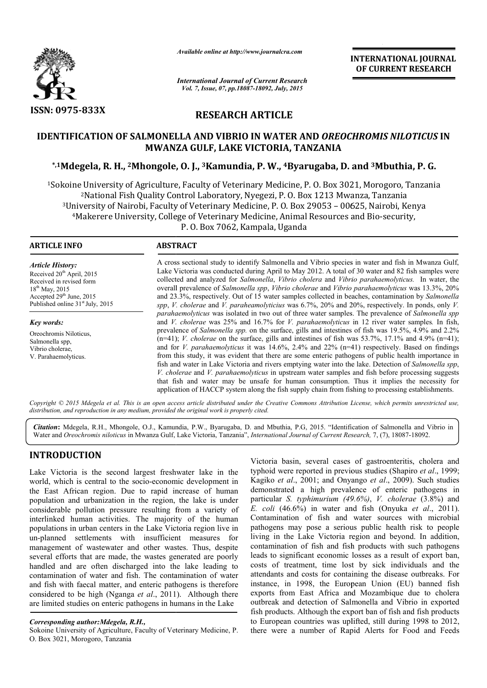

*Available online at http://www.journalcra.com*

*International Journal of Current Research Vol. 7, Issue, 07, pp.18087-18092, July, 2015*

INTERNATIONAL INTERNATIONAL JOURNAL OF CURRENT RESEARCH

# RESEARCH ARTICLE

## IDENTIFICATION OF SALMONELLA AND VIBRIO IN WATER AND *OREOCHROMIS NILOTICUS* IN MWANZA GULF, LAKE VICTORIA, TANZANIA

## \*,1Mdegela, R. H., <sup>2</sup>Mhongole, O. J., <sup>3</sup>Kamundia, P. W., 4Byarugaba, D. and <sup>3</sup>Mbuthia, P. G.

<sup>1</sup>Sokoine University of Agriculture, Faculty of Veterinary Medicine, P. O. Box 3021, Morogoro, Tanzania University of Agriculture, Faculty of Veterinary Medicine, P. O. Box 3021, Morogoro, '<br><sup>2</sup>National Fish Quality Control Laboratory, Nyegezi, P. O. Box 1213 Mwanza, Tanzania <sup>2</sup> National Fish Quality Control Laboratory, Nyegezi, P. O. Box 1213 Mwanza, Tanzania<sup>3</sup> University of Nairobi, Faculty of Veterinary Medicine, P. O. Box 29053 - 00625, Nairobi, Kenya 4Makerere University, College of Veterinary Medicine, Animal Resources and Bio Makerere P. O. Box 7062, Kampala, Uganda Makerere Bio-security,

ARTICLE INFO ABSTRACT A cross sectional study to identify Salmonella and Vibrio species in water and fish in Mwanza Gulf, Lake Victoria was conducted during April to May 2012. A total of 30 water and 82 fish samples were A cross sectional study to identify Salmonella and Vibrio species in water and fish in Mwanza Gulf, Lake Victoria was conducted during April to May 2012. A total of 30 water and 82 fish samples were collected and analyzed overall prevalence of *Salmonella spp, Vibrio cholerae* and *Vibrio parahaemolyticus* was 13.3%, 20% and 23.3%, respectively. Out of 15 water samples collected in beaches, contamination by *Salmonella*  spp, *V. cholerae* and *V. paraheamolyticius* was 6.7%, 20% and 20%, respectively. In ponds, only *V.* parahaemolyticus was isolated in two out of three water samples. The prevalence of *Salmonella spp* and *V. cholerae* was 25% and 16.7% for *V. parahaemolyticus* in 12 river water samples. In fish, prevalence of *Salmonella spp.* on the surface, gills and intestines of fish was 19.5%, 4.9% and 2.2% prevalence of *Salmonella spp*. on the surface, gills and intestines of fish was 19.5%, 4.9% and 2.2% (n=41); *V. cholerae* on the surface, gills and intestines of fish was 53.7%, 17.1% and 4.9% (n=41); and for *V. parahaemolyticus* it was 14.6%, 2.4% and 22% (n=41) respectively. Based on findings from this study, it was evident that there are some enteric pathogens of public health importance in from this study, it was evident that there are some enteric pathogens of public health importance in fish and water in Lake Victoria and rivers emptying water into the lake. Detection of *Salmonella spp*, *V. cholerae* and *V. parahaemolyticus* in upstream water samples and fish before processing suggests that fish and water may be unsafe for human consumption. Thus it implies the necessity for that fish and water may be unsafe for human consumption. Thus it implies the necessity for application of HACCP system along the fish supply chain from fishing to processing establishments. *Article History:* Received 20<sup>th</sup> April, 2015 Received in revised form 18<sup>th</sup> May, 2015 Accepted 29<sup>th</sup> June, 2015 Published online 31<sup>st</sup> July, 2015 *Key words:* Oreochromis Niloticus, Salmonella spp, Vibrio cholerae, V. Parahaemolyticus. 1

Copyright © 2015 Mdegela et al. This is an open access article distributed under the Creative Commons Attribution License, which permits unrestricted use, *distribution, and reproduction in any medium, provided the original work is properly cited.*

Citation: Mdegela, R.H., Mhongole, O.J., Kamundia, P.W., Byarugaba, D. and Mbuthia, P.G, 2015. "Identification of Salmonella and Vibrio in Water and *Oreochromis niloticus* in Mwanza Gulf, Lake Victoria, Tanzania", *International Journal of Current Research*, 7, (7), 18087-18092.

## INTRODUCTION

Lake Victoria is the second largest freshwater lake in the world, which is central to the socio-economic development in the East African region. Due to rapid increase of human population and urbanization in the region, the lake is under considerable pollution pressure resulting from a variety of interlinked human activities. The majority of the human populations in urban centers in the Lake Victoria region live in un-planned settlements with insufficient measures for management of wastewater and other wastes. Thus, despite several efforts that are made, the wastes generated are poorly handled and are often discharged into the lake leading to contamination of water and fish. The contamination of water and fish with faecal matter, and enteric pathogens is therefore considered to be high (Nganga *et al*., 2011). Although there are limited studies on enteric pathogens in humans in the Lake rld, which is central to the socio-economic development in<br>East African region. Due to rapid increase of human<br>vulation and urbanization in the region, the lake is under<br>siderable pollution pressure resulting from a variet

Victoria basin, several cases of gastroenteritis, cholera and Victoria basin, several cases of gastroenteritis, cholera and typhoid were reported in previous studies (Shapiro *et al.*, 1999; Kagiko et al., 2001; and Onyango et al., 2009). Such studies demonstrated a high prevalence of enteric pathogens in demonstrated a high prevalence of enteric pathogens in particular *S. typhimurium (49.6%)*, *V. cholerae* (3.8%) and *E. coli* (46.6%) in water and fish (Onyuka *et al.*, 2011). Contamination of fish and water sources with microbial pathogens may pose a serious public health risk to people living in the Lake Victoria region and beyond. In addition, contamination of fish and fish products with such pathogens leads to significant economic losses as a result of export ban, costs of treatment, time lost by sick individuals and the attendants and costs for containing the disease outbreaks. For instance, in 1998, the European Union (EU) banned fish exports from East Africa and Mozambique due to cholera outbreak and detection of Salmonella and Vibrio in exported fish products. Although the export ban of fish and fish products to European countries was uplifted, still during 1998 to 2012, there were a number of Rapid Alerts for Food and Feeds public risk in figure risk in fish fish fish fish fish fish such addition, contamination of fish and fish products with such pathogens leads to significant economic losses as a result of export ban, costs of treatment, tim **INTERNATIONAL JOURNAL**<br> **CDF CURRENT RESEARCH**<br> **CDF**<br> **CDF CURRENT RESEARCH**<br> **CDF**<br> **CDF**<br> **CDF**<br> **CDF**<br> **CDF**<br> **CDF**<br> **CDF**<br> **CDF**<br> **CDF**<br> **CDF**<br> **CDF**<br> **CDF**<br> **CDF**<br> **CDF**<br> **CDF**<br> **CDF**<br> **CDF**<br> **CDF**<br> **CDF**<br> **CDF**<br>

*Corresponding author:Mdegela, R.H.,* 

Sokoine University of Agriculture, Faculty of Veterinary Medicine, P. O. Box 3021, Morogoro, Tanzania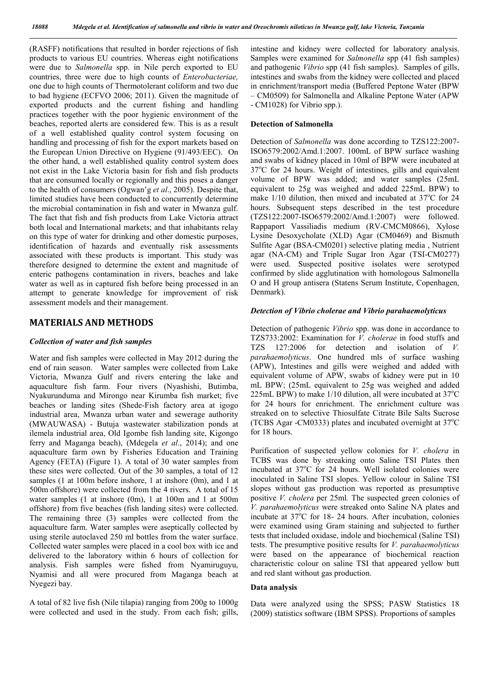(RASFF) notifications that resulted in border rejections of fish products to various EU countries. Whereas eight notifications were due to *Salmonella* spp. in Nile perch exported to EU countries, three were due to high counts of *Enterobacteriae,*  one due to high counts of Thermotolerant coliform and two due to bad hygiene (ECFVO 2006; 2011). Given the magnitude of exported products and the current fishing and handling practices together with the poor hygienic environment of the beaches, reported alerts are considered few. This is as a result of a well established quality control system focusing on handling and processing of fish for the export markets based on the European Union Directive on Hygiene (91/493/EEC). On the other hand, a well established quality control system does not exist in the Lake Victoria basin for fish and fish products that are consumed locally or regionally and this poses a danger to the health of consumers (Ogwan'g *et al*., 2005). Despite that, limited studies have been conducted to concurrently determine the microbial contamination in fish and water in Mwanza gulf. The fact that fish and fish products from Lake Victoria attract both local and International markets; and that inhabitants relay on this type of water for drinking and other domestic purposes, identification of hazards and eventually risk assessments associated with these products is important. This study was therefore designed to determine the extent and magnitude of enteric pathogens contamination in rivers, beaches and lake water as well as in captured fish before being processed in an attempt to generate knowledge for improvement of risk assessment models and their management.

### MATERIALS AND METHODS

#### *Collection of water and fish samples*

Water and fish samples were collected in May 2012 during the end of rain season. Water samples were collected from Lake Victoria, Mwanza Gulf and rivers entering the lake and aquaculture fish farm. Four rivers (Nyashishi, Butimba, Nyakurunduma and Mirongo near Kirumba fish market; five beaches or landing sites (Shede-Fish factory area at igogo industrial area, Mwanza urban water and sewerage authority (MWAUWASA) - Butuja wastewater stabilization ponds at ilemela industrial area, Old Igombe fish landing site, Kigongo ferry and Maganga beach), (Mdegela *et al*., 2014); and one aquaculture farm own by Fisheries Education and Training Agency (FETA) (Figure 1). A total of 30 water samples from these sites were collected. Out of the 30 samples, a total of 12 samples (1 at 100m before inshore, 1 at inshore (0m), and 1 at 500m offshore) were collected from the 4 rivers. A total of 15 water samples (1 at inshore (0m), 1 at 100m and 1 at 500m offshore) from five beaches (fish landing sites) were collected. The remaining three (3) samples were collected from the aquaculture farm. Water samples were aseptically collected by using sterile autoclaved 250 ml bottles from the water surface. Collected water samples were placed in a cool box with ice and delivered to the laboratory within 6 hours of collection for analysis. Fish samples were fished from Nyamiruguyu, Nyamisi and all were procured from Maganga beach at Nyegezi bay.

A total of 82 live fish (Nile tilapia) ranging from 200g to 1000g were collected and used in the study. From each fish; gills,

intestine and kidney were collected for laboratory analysis. Samples were examined for *Salmonella* spp (41 fish samples) and pathogenic *Vibrio* spp (41 fish samples). Samples of gills, intestines and swabs from the kidney were collected and placed in enrichment/transport media (Buffered Peptone Water (BPW – CM0509) for Salmonella and Alkaline Peptone Water (APW - CM1028) for Vibrio spp.).

#### Detection of Salmonella

Detection of *Salmonella* was done according to TZS122:2007- ISO6579:2002/Amd.1:2007. 100mL of BPW surface washing and swabs of kidney placed in 10ml of BPW were incubated at 37°C for 24 hours. Weight of intestines, gills and equivalent volume of BPW was added; and water samples (25mL equivalent to 25g was weighed and added 225mL BPW) to make  $1/10$  dilution, then mixed and incubated at  $37^{\circ}$ C for 24 hours. Subsequent steps described in the test procedure (TZS122:2007-ISO6579:2002/Amd.1:2007) were followed. Rappaport Vassiliadis medium (RV-CMCM0866), Xylose Lysine Desoxycholate (XLD) Agar (CM0469) and Bismuth Sulfite Agar (BSA-CM0201) selective plating media , Nutrient agar (NA-CM) and Triple Sugar Iron Agar (TSI-CM0277) were used. Suspected positive isolates were serotyped confirmed by slide agglutination with homologous Salmonella O and H group antisera (Statens Serum Institute, Copenhagen, Denmark).

#### *Detection of Vibrio cholerae and Vibrio parahaemolyticus*

Detection of pathogenic *Vibrio* spp. was done in accordance to TZS733:2002: Examination for *V. cholerae* in food stuffs and TZS 127:2006 for detection and isolation of *V. parahaemolyticus*. One hundred mls of surface washing (APW), Intestines and gills were weighed and added with equivalent volume of APW, swabs of kidney were put in 10 mL BPW; (25mL equivalent to 25g was weighed and added 225mL BPW) to make  $1/10$  dilution, all were incubated at  $37^{\circ}$ C for 24 hours for enrichment. The enrichment culture was streaked on to selective Thiosulfate Citrate Bile Salts Sucrose (TCBS Agar -CM0333) plates and incubated overnight at  $37^{\circ}$ C for 18 hours.

Purification of suspected yellow colonies for *V. cholera* in TCBS was done by streaking onto Saline TSI Plates then incubated at 37°C for 24 hours. Well isolated colonies were inoculated in Saline TSI slopes. Yellow colour in Saline TSI slopes without gas production was reported as presumptive positive *V. cholera* per 25ml*.* The suspected green colonies of *V. parahaemolyticus* were streaked onto Saline NA plates and incubate at 37°C for 18- 24 hours. After incubation, colonies were examined using Gram staining and subjected to further tests that included oxidase, indole and biochemical (Saline TSI) tests. The presumptive positive results for *V. parahaemolyticus* were based on the appearance of biochemical reaction characteristic colour on saline TSI that appeared yellow butt and red slant without gas production.

#### Data analysis

Data were analyzed using the SPSS; PASW Statistics 18 (2009) statistics software (IBM SPSS). Proportions of samples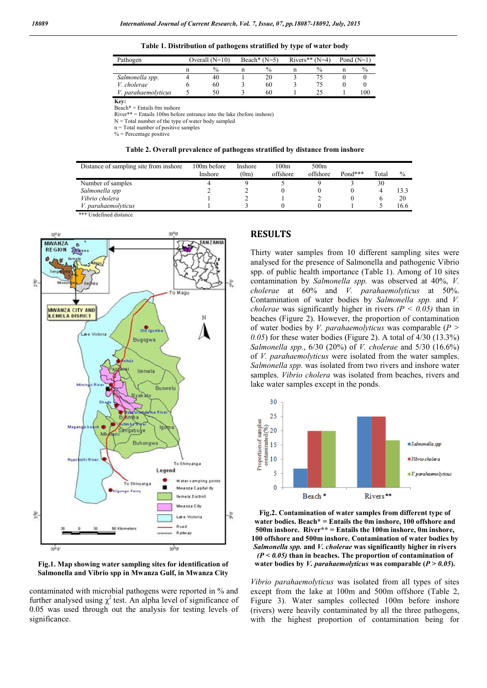Table 1. Distribution of pathogens stratified by type of water body

| Pathogen            | Overall $(N=10)$ |  | Beach* $(N=5)$ |  | Rivers** $(N=4)$ |   | Pond $(N=1)$ |  |
|---------------------|------------------|--|----------------|--|------------------|---|--------------|--|
|                     | $\frac{0}{0}$    |  | $\frac{0}{0}$  |  | $\frac{0}{0}$    | n | $\%$         |  |
| Salmonella spp.     | 40               |  | 20             |  |                  |   |              |  |
| V. cholerae         | 60               |  | 60             |  |                  |   |              |  |
| V. parahaemolyticus | 50               |  | 60             |  |                  |   | .00          |  |

**Key: Key:** 

 $Beach* = Entails 0m$  inshore

River\*\* = Entails 100m before entrance into the lake (before inshore)

N = Total number of the type of water body sampled

 $n =$ Total number of positive samples

 $%$  = Percentage positive

#### Table 2. Overall prevalence of pathogens stratified by distance from inshore

| Distance of sampling site from inshore | 100m before<br>Inshore | Inshore<br>(0m) | 100m<br>offshore | 500 <sub>m</sub><br>offshore | $Pond***$ | Total | $\frac{0}{0}$ |
|----------------------------------------|------------------------|-----------------|------------------|------------------------------|-----------|-------|---------------|
| Number of samples                      |                        |                 |                  |                              |           | 30    |               |
| Salmonella spp                         |                        |                 |                  |                              |           |       | 133           |
| Vibrio cholera                         |                        |                 |                  |                              |           |       | 20            |
| V. parahaemolyticus                    |                        |                 |                  |                              |           |       | 16.6          |

\*\*\* Undefined distance





contaminated with microbial pathogens were reported in % and further analysed using  $\chi^2$  test. An alpha level of significance of 0.05 was used through out the analysis for testing levels of significance.

#### RESULTS

Thirty water samples from 10 different sampling sites were analysed for the presence of Salmonella and pathogenic Vibrio spp. of public health importance (Table 1). Among of 10 sites contamination by *Salmonella spp.* was observed at 40%, *V. cholerae* at 60% and *V. parahaemolyticus* at 50%. Contamination of water bodies by *Salmonella spp.* and *V. cholerae* was significantly higher in rivers  $(P < 0.05)$  than in beaches (Figure 2). However, the proportion of contamination of water bodies by *V. parahaemolyticus* was comparable (*P > 0.05*) for these water bodies (Figure 2). A total of 4/30 (13.3%) *Salmonella spp.*, 6/30 (20%) of *V. cholerae* and 5/30 (16.6%) of *V. parahaemolyticus* were isolated from the water samples. *Salmonella spp.* was isolated from two rivers and inshore water samples. *Vibrio cholera* was isolated from beaches, rivers and lake water samples except in the ponds.



Fig.2. Contamination of water samples from different type of water bodies. Beach\* = Entails the  $0m$  inshore, 100 offshore and 500m inshore. River\*\* = Entails the 100m inshore, 0m inshore, 100 offshore and 500m inshore. Contamination of water bodies by *Salmonella spp.* and *V. cholerae* was significantly higher in rivers *(P < 0.05)* than in beaches. The proportion of contamination of water bodies by *V. parahaemolyticus* was comparable (*P > 0.05*).

*Vibrio parahaemolyticus* was isolated from all types of sites except from the lake at 100m and 500m offshore (Table 2, Figure 3). Water samples collected 100m before inshore (rivers) were heavily contaminated by all the three pathogens, with the highest proportion of contamination being for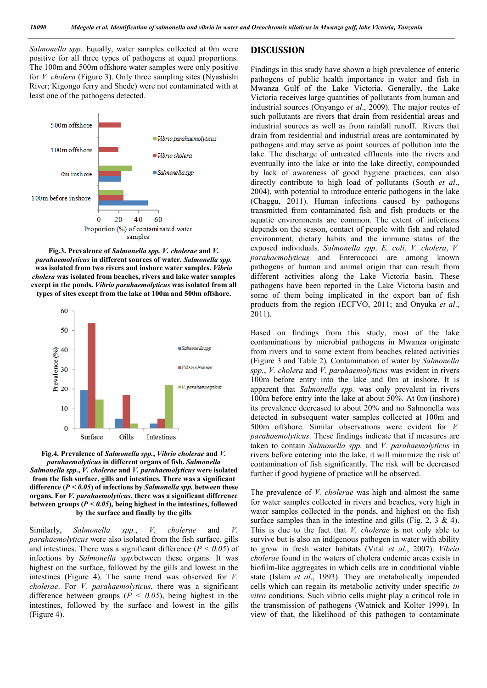*Salmonella spp*. Equally, water samples collected at 0m were positive for all three types of pathogens at equal proportions. The 100m and 500m offshore water samples were only positive for *V. cholera* (Figure 3). Only three sampling sites (Nyashishi River; Kigongo ferry and Shede) were not contaminated with at least one of the pathogens detected.



Fig.3. Prevalence of *Salmonella spp. V. cholerae* and *V. parahaemolyticus* in different sources of water. *Salmonella spp.*  was isolated from two rivers and inshore water samples. *Vibrio cholera* was isolated from beaches, rivers and lake water samples except in the ponds. *Vibrio parahaemolyticus* was isolated from all types of sites except from the lake at 100m and 500m offshore.



Fig.4. Prevalence of *Salmonella spp.*, *Vibrio cholerae* and *V. parahaemolyticus* in different organs of fish. *Salmonella Salmonella spp.*, *V. cholerae* and *V. parahaemolyticus* were isolated from the fish surface, gills and intestines. There was a significant difference (*P < 0.05*) of infections by *Salmonella spp.* between these organs. For *V. parahaemolyticus*, there was a significant difference between groups (*P < 0.05*), being highest in the intestines, followed by the surface and finally by the gills

Similarly, *Salmonella spp.*, *V. cholerae* and *V. parahaemolyticus* were also isolated from the fish surface, gills and intestines. There was a significant difference  $(P < 0.05)$  of infections by *Salmonella spp.*between these organs. It was highest on the surface, followed by the gills and lowest in the intestines (Figure 4). The same trend was observed for *V. cholerae*. For *V. parahaemolyticus*, there was a significant difference between groups ( $P < 0.05$ ), being highest in the intestines, followed by the surface and lowest in the gills (Figure 4).

### DISCUSSION

Findings in this study have shown a high prevalence of enteric pathogens of public health importance in water and fish in Mwanza Gulf of the Lake Victoria. Generally, the Lake Victoria receives large quantities of pollutants from human and industrial sources (Onyango *et al*., 2009). The major routes of such pollutants are rivers that drain from residential areas and industrial sources as well as from rainfall runoff. Rivers that drain from residential and industrial areas are contaminated by pathogens and may serve as point sources of pollution into the lake. The discharge of untreated effluents into the rivers and eventually into the lake or into the lake directly, compounded by lack of awareness of good hygiene practices, can also directly contribute to high load of pollutants (South *et al*., 2004), with potential to introduce enteric pathogens in the lake (Chaggu, 2011). Human infections caused by pathogens transmitted from contaminated fish and fish products or the aquatic environments are common. The extent of infections depends on the season, contact of people with fish and related environment, dietary habits and the immune status of the exposed individuals. *Salmonella spp, E. coli, V. cholera*, *V. parahaemolyticus* and Enterococci are among known pathogens of human and animal origin that can result from different activities along the Lake Victoria basin. These pathogens have been reported in the Lake Victoria basin and some of them being implicated in the export ban of fish products from the region (ECFVO, 2011; and Onyuka *et al*., 2011).

Based on findings from this study, most of the lake contaminations by microbial pathogens in Mwanza originate from rivers and to some extent from beaches related activities (Figure 3 and Table 2)*.* Contamination of water by *Salmonella spp.*, *V. cholera* and *V. parahaemolyticus* was evident in rivers 100m before entry into the lake and 0m at inshore. It is apparent that *Salmonella spp.* was only prevalent in rivers 100m before entry into the lake at about 50%. At 0m (inshore) its prevalence decreased to about 20% and no Salmonella was detected in subsequent water samples collected at 100m and 500m offshore. Similar observations were evident for *V. parahaemolyticus*. These findings indicate that if measures are taken to contain *Salmonella spp.* and *V. parahaemolyticus* in rivers before entering into the lake, it will minimize the risk of contamination of fish significantly. The risk will be decreased further if good hygiene of practice will be observed.

The prevalence of *V. cholerae* was high and almost the same for water samples collected in rivers and beaches, very high in water samples collected in the ponds, and highest on the fish surface samples than in the intestine and gills (Fig. 2, 3  $\&$  4). This is due to the fact that *V. cholerae* is not only able to survive but is also an indigenous pathogen in water with ability to grow in fresh water habitats (Vital *et al*., 2007). *Vibrio cholerae* found in the waters of cholera endemic areas exists in biofilm-like aggregates in which cells are in conditional viable state (Islam *et al*., 1993). They are metabolically impended cells which can regain its metabolic activity under specific *in vitro* conditions. Such vibrio cells might play a critical role in the transmission of pathogens (Watnick and Kolter 1999). In view of that, the likelihood of this pathogen to contaminate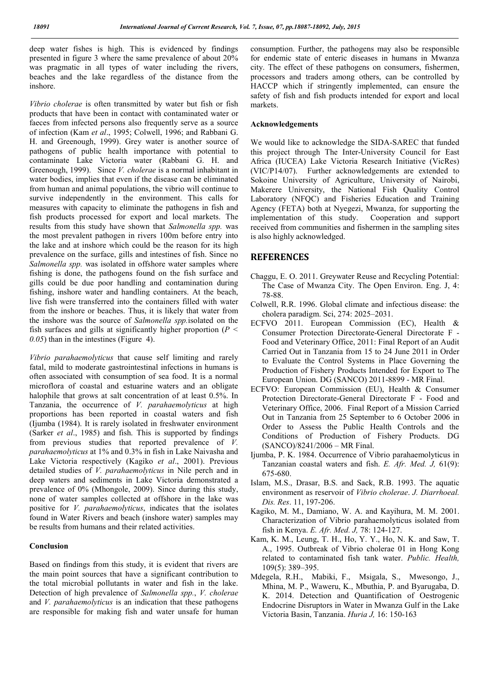deep water fishes is high. This is evidenced by findings presented in figure 3 where the same prevalence of about 20% was pragmatic in all types of water including the rivers, beaches and the lake regardless of the distance from the inshore.

*Vibrio cholerae* is often transmitted by water but fish or fish products that have been in contact with contaminated water or faeces from infected persons also frequently serve as a source of infection (Kam *et al*., 1995; Colwell, 1996; and Rabbani G. H. and Greenough, 1999). Grey water is another source of pathogens of public health importance with potential to contaminate Lake Victoria water (Rabbani G. H. and Greenough, 1999). Since *V. cholerae* is a normal inhabitant in water bodies, implies that even if the disease can be eliminated from human and animal populations, the vibrio will continue to survive independently in the environment. This calls for measures with capacity to eliminate the pathogens in fish and fish products processed for export and local markets. The results from this study have shown that *Salmonella spp.* was the most prevalent pathogen in rivers 100m before entry into the lake and at inshore which could be the reason for its high prevalence on the surface, gills and intestines of fish. Since no *Salmonella spp.* was isolated in offshore water samples where fishing is done, the pathogens found on the fish surface and gills could be due poor handling and contamination during fishing, inshore water and handling containers. At the beach, live fish were transferred into the containers filled with water from the inshore or beaches. Thus, it is likely that water from the inshore was the source of *Salmonella spp.*isolated on the fish surfaces and gills at significantly higher proportion (*P < 0.05*) than in the intestines (Figure 4).

*Vibrio parahaemolyticus* that cause self limiting and rarely fatal, mild to moderate gastrointestinal infections in humans is often associated with consumption of sea food. It is a normal microflora of coastal and estuarine waters and an obligate halophile that grows at salt concentration of at least 0.5%. In Tanzania, the occurrence of *V. parahaemolyticus* at high proportions has been reported in coastal waters and fish (Ijumba (1984). It is rarely isolated in freshwater environment (Sarker *et al*., 1985) and fish. This is supported by findings from previous studies that reported prevalence of *V. parahaemolyticus* at 1% and 0.3% in fish in Lake Naivasha and Lake Victoria respectively (Kagiko *et al*., 2001). Previous detailed studies of *V. parahaemolyticus* in Nile perch and in deep waters and sediments in Lake Victoria demonstrated a prevalence of 0% (Mhongole, 2009). Since during this study, none of water samples collected at offshore in the lake was positive for *V. parahaemolyticus*, indicates that the isolates found in Water Rivers and beach (inshore water) samples may be results from humans and their related activities.

### Conclusion

Based on findings from this study, it is evident that rivers are the main point sources that have a significant contribution to the total microbial pollutants in water and fish in the lake. Detection of high prevalence of *Salmonella spp.*, *V. cholerae* and *V. parahaemolyticus* is an indication that these pathogens are responsible for making fish and water unsafe for human consumption. Further, the pathogens may also be responsible for endemic state of enteric diseases in humans in Mwanza city. The effect of these pathogens on consumers, fishermen, processors and traders among others, can be controlled by HACCP which if stringently implemented, can ensure the safety of fish and fish products intended for export and local markets.

#### Acknowledgements

We would like to acknowledge the SIDA-SAREC that funded this project through The Inter-University Council for East Africa (IUCEA) Lake Victoria Research Initiative (VicRes) (VIC/P14/07). Further acknowledgements are extended to Sokoine University of Agriculture, University of Nairobi, Makerere University, the National Fish Quality Control Laboratory (NFQC) and Fisheries Education and Training Agency (FETA) both at Nyegezi, Mwanza, for supporting the implementation of this study. Cooperation and support received from communities and fishermen in the sampling sites is also highly acknowledged.

### REFERENCES

- Chaggu, E. O. 2011. Greywater Reuse and Recycling Potential: The Case of Mwanza City. The Open Environ. Eng. J, 4: 78-88.
- Colwell, R.R. 1996. Global climate and infectious disease: the cholera paradigm. Sci, 274: 2025–2031.
- ECFVO 2011. European Commission (EC), Health & Consumer Protection Directorate-General Directorate F - Food and Veterinary Office, 2011: Final Report of an Audit Carried Out in Tanzania from 15 to 24 June 2011 in Order to Evaluate the Control Systems in Place Governing the Production of Fishery Products Intended for Export to The European Union. DG (SANCO) 2011-8899 - MR Final.
- ECFVO: European Commission (EU), Health & Consumer Protection Directorate-General Directorate F - Food and Veterinary Office, 2006. Final Report of a Mission Carried Out in Tanzania from 25 September to 6 October 2006 in Order to Assess the Public Health Controls and the Conditions of Production of Fishery Products. DG (SANCO)/8241/2006 – MR Final.
- Ijumba, P. K. 1984. Occurrence of Vibrio parahaemolyticus in Tanzanian coastal waters and fish. *E. Afr. Med. J,* 61(9): 675-680.
- Islam, M.S., Drasar, B.S. and Sack, R.B. 1993. The aquatic environment as reservoir of *Vibrio cholerae*. *J. Diarrhoeal. Dis. Res*. 11, 197-206.
- Kagiko, M. M., Damiano, W. A. and Kayihura, M. M. 2001. Characterization of Vibrio parahaemolyticus isolated from fish in Kenya. *E. Afr. Med. J,* 78: 124-127.
- Kam, K. M., Leung, T. H., Ho, Y. Y., Ho, N. K. and Saw, T. A., 1995. Outbreak of Vibrio cholerae 01 in Hong Kong related to contaminated fish tank water. *Public. Health,* 109(5): 389–395.
- Mdegela, R.H., Mabiki, F., Msigala, S., Mwesongo, J., Mhina, M. P., Waweru, K., Mbuthia, P. and Byarugaba, D. K. 2014. Detection and Quantification of Oestrogenic Endocrine Disruptors in Water in Mwanza Gulf in the Lake Victoria Basin, Tanzania. *Huria J,* 16: 150-163